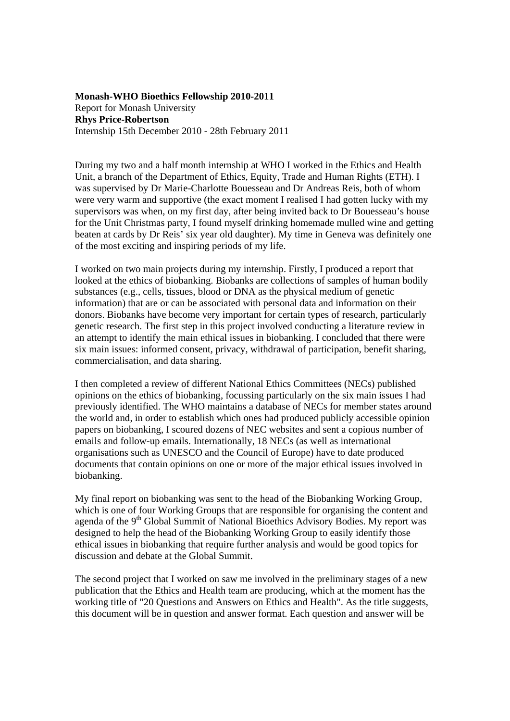## **Monash-WHO Bioethics Fellowship 2010-2011**  Report for Monash University **Rhys Price-Robertson**  Internship 15th December 2010 - 28th February 2011

During my two and a half month internship at WHO I worked in the Ethics and Health Unit, a branch of the Department of Ethics, Equity, Trade and Human Rights (ETH). I was supervised by Dr Marie-Charlotte Bouesseau and Dr Andreas Reis, both of whom were very warm and supportive (the exact moment I realised I had gotten lucky with my supervisors was when, on my first day, after being invited back to Dr Bouesseau's house for the Unit Christmas party, I found myself drinking homemade mulled wine and getting beaten at cards by Dr Reis' six year old daughter). My time in Geneva was definitely one of the most exciting and inspiring periods of my life.

I worked on two main projects during my internship. Firstly, I produced a report that looked at the ethics of biobanking. Biobanks are collections of samples of human bodily substances (e.g., cells, tissues, blood or DNA as the physical medium of genetic information) that are or can be associated with personal data and information on their donors. Biobanks have become very important for certain types of research, particularly genetic research. The first step in this project involved conducting a literature review in an attempt to identify the main ethical issues in biobanking. I concluded that there were six main issues: informed consent, privacy, withdrawal of participation, benefit sharing, commercialisation, and data sharing.

I then completed a review of different National Ethics Committees (NECs) published opinions on the ethics of biobanking, focussing particularly on the six main issues I had previously identified. The WHO maintains a database of NECs for member states around the world and, in order to establish which ones had produced publicly accessible opinion papers on biobanking, I scoured dozens of NEC websites and sent a copious number of emails and follow-up emails. Internationally, 18 NECs (as well as international organisations such as UNESCO and the Council of Europe) have to date produced documents that contain opinions on one or more of the major ethical issues involved in biobanking.

My final report on biobanking was sent to the head of the Biobanking Working Group, which is one of four Working Groups that are responsible for organising the content and agenda of the 9<sup>th</sup> Global Summit of National Bioethics Advisory Bodies. My report was designed to help the head of the Biobanking Working Group to easily identify those ethical issues in biobanking that require further analysis and would be good topics for discussion and debate at the Global Summit.

The second project that I worked on saw me involved in the preliminary stages of a new publication that the Ethics and Health team are producing, which at the moment has the working title of "20 Questions and Answers on Ethics and Health". As the title suggests, this document will be in question and answer format. Each question and answer will be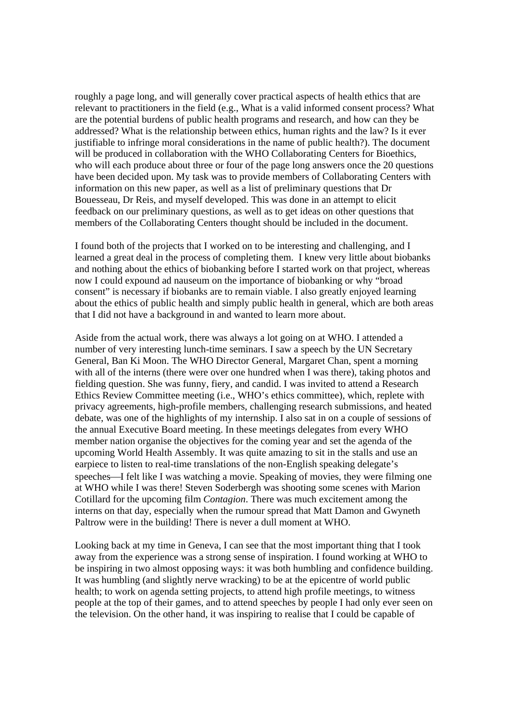roughly a page long, and will generally cover practical aspects of health ethics that are relevant to practitioners in the field (e.g., What is a valid informed consent process? What are the potential burdens of public health programs and research, and how can they be addressed? What is the relationship between ethics, human rights and the law? Is it ever justifiable to infringe moral considerations in the name of public health?). The document will be produced in collaboration with the WHO Collaborating Centers for Bioethics, who will each produce about three or four of the page long answers once the 20 questions have been decided upon. My task was to provide members of Collaborating Centers with information on this new paper, as well as a list of preliminary questions that Dr Bouesseau, Dr Reis, and myself developed. This was done in an attempt to elicit feedback on our preliminary questions, as well as to get ideas on other questions that members of the Collaborating Centers thought should be included in the document.

I found both of the projects that I worked on to be interesting and challenging, and I learned a great deal in the process of completing them. I knew very little about biobanks and nothing about the ethics of biobanking before I started work on that project, whereas now I could expound ad nauseum on the importance of biobanking or why "broad consent" is necessary if biobanks are to remain viable. I also greatly enjoyed learning about the ethics of public health and simply public health in general, which are both areas that I did not have a background in and wanted to learn more about.

Aside from the actual work, there was always a lot going on at WHO. I attended a number of very interesting lunch-time seminars. I saw a speech by the UN Secretary General, Ban Ki Moon. The WHO Director General, Margaret Chan, spent a morning with all of the interns (there were over one hundred when I was there), taking photos and fielding question. She was funny, fiery, and candid. I was invited to attend a Research Ethics Review Committee meeting (i.e., WHO's ethics committee), which, replete with privacy agreements, high-profile members, challenging research submissions, and heated debate, was one of the highlights of my internship. I also sat in on a couple of sessions of the annual Executive Board meeting. In these meetings delegates from every WHO member nation organise the objectives for the coming year and set the agenda of the upcoming World Health Assembly. It was quite amazing to sit in the stalls and use an earpiece to listen to real-time translations of the non-English speaking delegate's speeches—I felt like I was watching a movie. Speaking of movies, they were filming one at WHO while I was there! Steven Soderbergh was shooting some scenes with Marion Cotillard for the upcoming film *Contagion*. There was much excitement among the interns on that day, especially when the rumour spread that Matt Damon and Gwyneth Paltrow were in the building! There is never a dull moment at WHO.

Looking back at my time in Geneva, I can see that the most important thing that I took away from the experience was a strong sense of inspiration. I found working at WHO to be inspiring in two almost opposing ways: it was both humbling and confidence building. It was humbling (and slightly nerve wracking) to be at the epicentre of world public health; to work on agenda setting projects, to attend high profile meetings, to witness people at the top of their games, and to attend speeches by people I had only ever seen on the television. On the other hand, it was inspiring to realise that I could be capable of